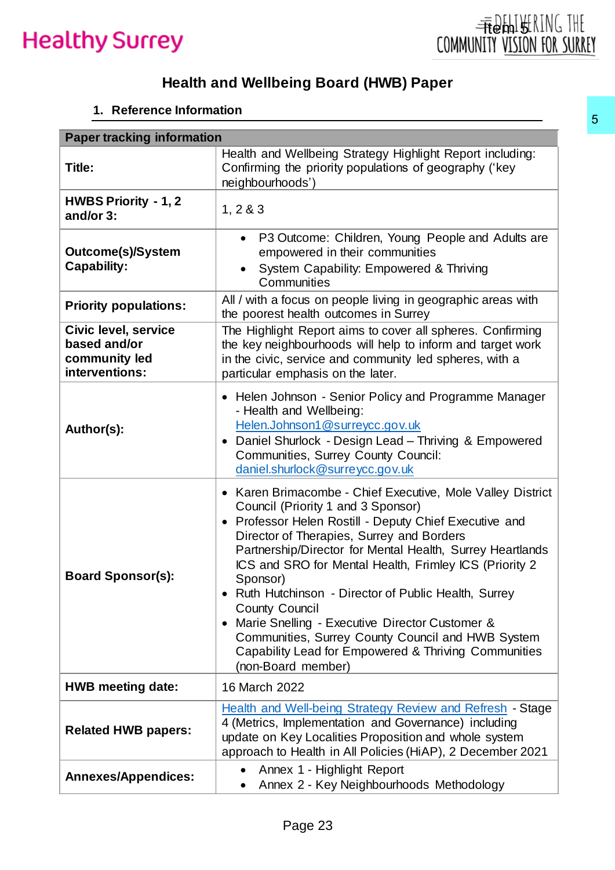

### **Health and Wellbeing Board (HWB) Paper**

#### **1. Reference Information**

| <b>Paper tracking information</b>                                              | Health and Wellbeing Strategy Highlight Report including:                                                                                                                                                                                                                                                                                                                                                                                                                                                                                                                                                          |  |  |  |  |  |
|--------------------------------------------------------------------------------|--------------------------------------------------------------------------------------------------------------------------------------------------------------------------------------------------------------------------------------------------------------------------------------------------------------------------------------------------------------------------------------------------------------------------------------------------------------------------------------------------------------------------------------------------------------------------------------------------------------------|--|--|--|--|--|
| Title:                                                                         | Confirming the priority populations of geography ('key<br>neighbourhoods')                                                                                                                                                                                                                                                                                                                                                                                                                                                                                                                                         |  |  |  |  |  |
| <b>HWBS Priority - 1, 2</b><br>and/or 3:                                       | 1, 283                                                                                                                                                                                                                                                                                                                                                                                                                                                                                                                                                                                                             |  |  |  |  |  |
| <b>Outcome(s)/System</b><br><b>Capability:</b>                                 | • P3 Outcome: Children, Young People and Adults are<br>empowered in their communities<br>System Capability: Empowered & Thriving<br>Communities<br>All / with a focus on people living in geographic areas with<br>the poorest health outcomes in Surrey<br>The Highlight Report aims to cover all spheres. Confirming<br>the key neighbourhoods will help to inform and target work<br>in the civic, service and community led spheres, with a<br>particular emphasis on the later.                                                                                                                               |  |  |  |  |  |
| <b>Priority populations:</b>                                                   |                                                                                                                                                                                                                                                                                                                                                                                                                                                                                                                                                                                                                    |  |  |  |  |  |
| <b>Civic level, service</b><br>based and/or<br>community led<br>interventions: |                                                                                                                                                                                                                                                                                                                                                                                                                                                                                                                                                                                                                    |  |  |  |  |  |
| Author(s):                                                                     | • Helen Johnson - Senior Policy and Programme Manager<br>- Health and Wellbeing:<br>Helen.Johnson1@surreycc.gov.uk<br>Daniel Shurlock - Design Lead - Thriving & Empowered<br>$\bullet$<br>Communities, Surrey County Council:<br>daniel.shurlock@surreycc.gov.uk                                                                                                                                                                                                                                                                                                                                                  |  |  |  |  |  |
| <b>Board Sponsor(s):</b>                                                       | • Karen Brimacombe - Chief Executive, Mole Valley District<br>Council (Priority 1 and 3 Sponsor)<br>• Professor Helen Rostill - Deputy Chief Executive and<br>Director of Therapies, Surrey and Borders<br>Partnership/Director for Mental Health, Surrey Heartlands<br>ICS and SRO for Mental Health, Frimley ICS (Priority 2)<br>Sponsor)<br>• Ruth Hutchinson - Director of Public Health, Surrey<br><b>County Council</b><br>Marie Snelling - Executive Director Customer &<br>Communities, Surrey County Council and HWB System<br>Capability Lead for Empowered & Thriving Communities<br>(non-Board member) |  |  |  |  |  |
| <b>HWB meeting date:</b>                                                       | 16 March 2022                                                                                                                                                                                                                                                                                                                                                                                                                                                                                                                                                                                                      |  |  |  |  |  |
| <b>Related HWB papers:</b>                                                     | Health and Well-being Strategy Review and Refresh - Stage<br>4 (Metrics, Implementation and Governance) including<br>update on Key Localities Proposition and whole system<br>approach to Health in All Policies (HiAP), 2 December 2021                                                                                                                                                                                                                                                                                                                                                                           |  |  |  |  |  |
| <b>Annexes/Appendices:</b>                                                     | Annex 1 - Highlight Report<br>$\bullet$<br>Annex 2 - Key Neighbourhoods Methodology                                                                                                                                                                                                                                                                                                                                                                                                                                                                                                                                |  |  |  |  |  |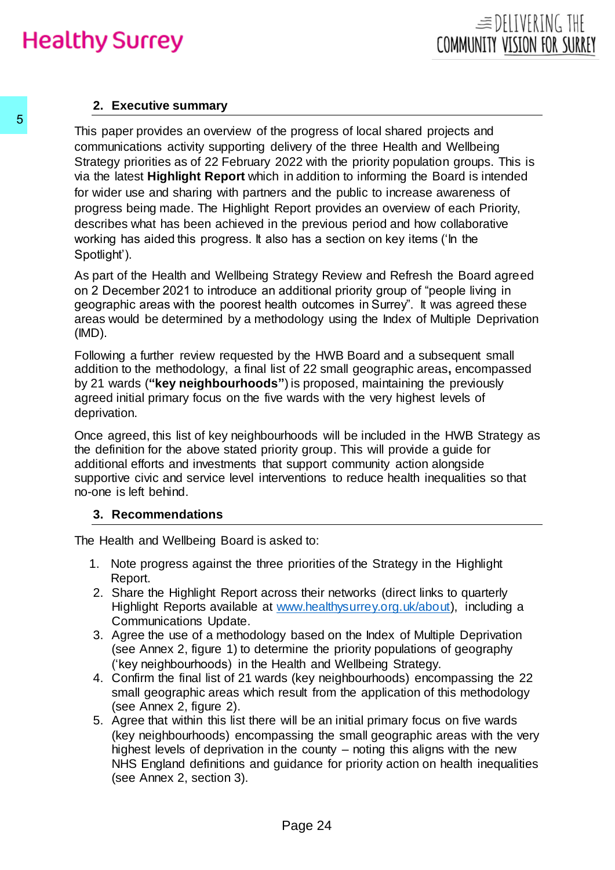#### **2. Executive summary**

This paper provides an overview of the progress of local shared projects and communications activity supporting delivery of the three Health and Wellbeing Strategy priorities as of 22 February 2022 with the priority population groups. This is via the latest **Highlight Report** which in addition to informing the Board is intended for wider use and sharing with partners and the public to increase awareness of progress being made. The Highlight Report provides an overview of each Priority, describes what has been achieved in the previous period and how collaborative working has aided this progress. It also has a section on key items ('In the Spotlight'). This paper provides an overview of the progres<br>
communications activity supporting delivery of the state Strategy priorities as of 22 February 2022 with<br>
via the latest **Highlight Report** which in additic<br>
for wider use a

As part of the Health and Wellbeing Strategy Review and Refresh the Board agreed on 2 December 2021 to introduce an additional priority group of "people living in geographic areas with the poorest health outcomes in Surrey". It was agreed these areas would be determined by a methodology using the Index of Multiple Deprivation (IMD).

Following a further review requested by the HWB Board and a subsequent small addition to the methodology, a final list of 22 small geographic areas**,** encompassed by 21 wards (**"key neighbourhoods"**) is proposed, maintaining the previously agreed initial primary focus on the five wards with the very highest levels of deprivation.

Once agreed, this list of key neighbourhoods will be included in the HWB Strategy as the definition for the above stated priority group. This will provide a guide for additional efforts and investments that support community action alongside supportive civic and service level interventions to reduce health inequalities so that no-one is left behind.

#### **3. Recommendations**

The Health and Wellbeing Board is asked to:

- 1. Note progress against the three priorities of the Strategy in the Highlight Report.
- 2. Share the Highlight Report across their networks (direct links to quarterly Highlight Reports available at [www.healthysurrey.org.uk/about\),](http://www.healthysurrey.org.uk/about) including a Communications Update.
- 3. Agree the use of a methodology based on the Index of Multiple Deprivation (see Annex 2, figure 1) to determine the priority populations of geography ('key neighbourhoods) in the Health and Wellbeing Strategy.
- 4. Confirm the final list of 21 wards (key neighbourhoods) encompassing the 22 small geographic areas which result from the application of this methodology (see Annex 2, figure 2).
- 5. Agree that within this list there will be an initial primary focus on five wards (key neighbourhoods) encompassing the small geographic areas with the very highest levels of deprivation in the county – noting this aligns with the new NHS England definitions and guidance for priority action on health inequalities (see Annex 2, section 3).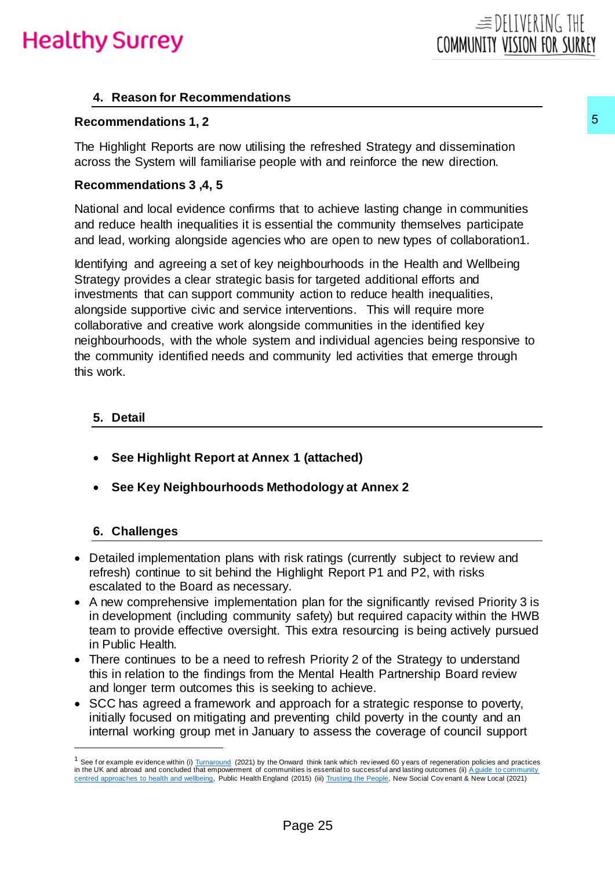#### **4. Reason for Recommendations**

#### **Recommendations 1, 2**

The Highlight Reports are now utilising the refreshed Strategy and dissemination across the System will familiarise people with and reinforce the new direction.

#### **Recommendations 3 ,4, 5**

National and local evidence confirms that to achieve lasting change in communities and reduce health inequalities it is essential the community themselves participate and lead, working alongside agencies who are open to new types of collaboration1.

Identifying and agreeing a set of key neighbourhoods in the Health and Wellbeing Strategy provides a clear strategic basis for targeted additional efforts and investments that can support community action to reduce health inequalities, alongside supportive civic and service interventions. This will require more collaborative and creative work alongside communities in the identified key neighbourhoods, with the whole system and individual agencies being responsive to the community identified needs and community led activities that emerge through this work. **5**<br>the refreshed Strategy and dissemination<br>ble with and reinforce the new direction.<br>hat to achieve lasting change in communities<br>who are open to new types of collaboration1.<br>However, weighted additional efforts and<br>eigh

#### **5. Detail**

- **See Highlight Report at Annex 1 (attached)**
- **See Key Neighbourhoods Methodology at Annex 2**

#### **6. Challenges**

 $\overline{a}$ 

- Detailed implementation plans with risk ratings (currently subject to review and refresh) continue to sit behind the Highlight Report P1 and P2, with risks escalated to the Board as necessary.
- A new comprehensive implementation plan for the significantly revised Priority 3 is in development (including community safety) but required capacity within the HWB team to provide effective oversight. This extra resourcing is being actively pursued in Public Health.
- There continues to be a need to refresh Priority 2 of the Strategy to understand this in relation to the findings from the Mental Health Partnership Board review and longer term outcomes this is seeking to achieve.
- SCC has agreed a framework and approach for a strategic response to poverty, initially focused on mitigating and preventing child poverty in the county and an internal working group met in January to assess the coverage of council support

 $1$  See for example evidence within (i[\) Turnaround](https://www.ukonward.com/wp-content/uploads/2021/09/Turnaround-Publication-3.pdf) (2021) by the Onward think tank which reviewed 60 y ears of regeneration policies and practices in the UK and abroad and concluded that empowerment of communities is essential to successful and lasting outcomes (ii) A guide to community [centred approaches to health and wellbeing,](https://assets.publishing.service.gov.uk/government/uploads/system/uploads/attachment_data/file/768979/A_guide_to_community-centred_approaches_for_health_and_wellbeing__full_report_.pdf) Public Health England (2015) (iii[\) Trusting the People,](https://www.newlocal.org.uk/wp-content/uploads/2021/09/Trusting-the-People.pdf) New Social Cov enant & New Local (2021)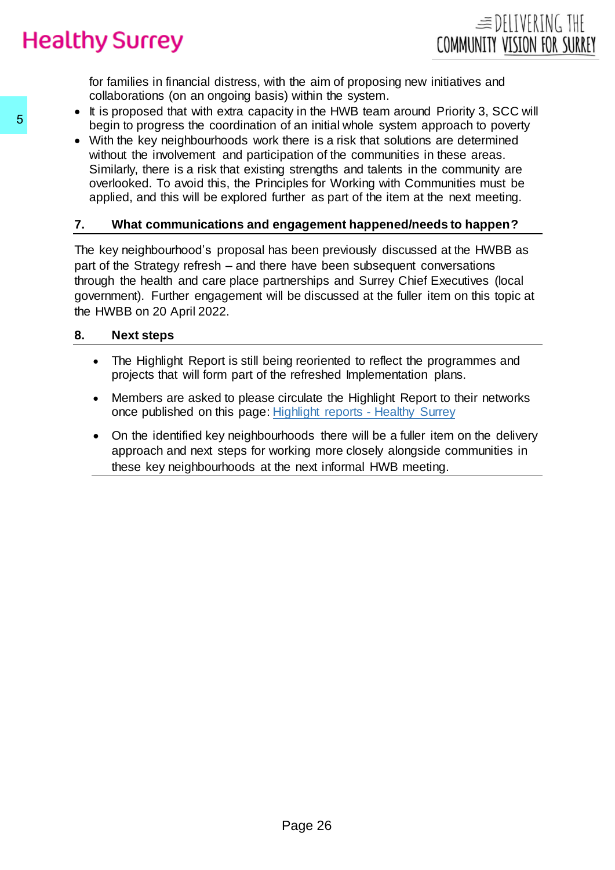for families in financial distress, with the aim of proposing new initiatives and collaborations (on an ongoing basis) within the system.

- It is proposed that with extra capacity in the HWB team around Priority 3, SCC will begin to progress the coordination of an initial whole system approach to poverty
- With the key neighbourhoods work there is a risk that solutions are determined without the involvement and participation of the communities in these areas. Similarly, there is a risk that existing strengths and talents in the community are overlooked. To avoid this, the Principles for Working with Communities must be applied, and this will be explored further as part of the item at the next meeting.

#### **7. What communications and engagement happened/needs to happen?**

The key neighbourhood's proposal has been previously discussed at the HWBB as part of the Strategy refresh – and there have been subsequent conversations through the health and care place partnerships and Surrey Chief Executives (local government). Further engagement will be discussed at the fuller item on this topic at the HWBB on 20 April 2022. **S**<br>
begin to progress the coordination of an initial<br>
with the key neighbourhoods work there is a singlichation of<br>
similarly, there is a risk that existing strengther<br>
overlooked. To avoid this, the Principles for<br>
appl

#### **8. Next steps**

- The Highlight Report is still being reoriented to reflect the programmes and projects that will form part of the refreshed Implementation plans.
- Members are asked to please circulate the Highlight Report to their networks once published on this page: [Highlight reports -](https://www.healthysurrey.org.uk/about/highlight-reports#:~:text=Highlight%20reports%20produced%20from%20the,Board%20on%20a%20quarterly%20basis.&text=The%20following%20quarterly%20highlight%20reports,Health%20and%20Well%2Dbeing%20Strategy.) Healthy Surrey
- On the identified key neighbourhoods there will be a fuller item on the delivery approach and next steps for working more closely alongside communities in these key neighbourhoods at the next informal HWB meeting.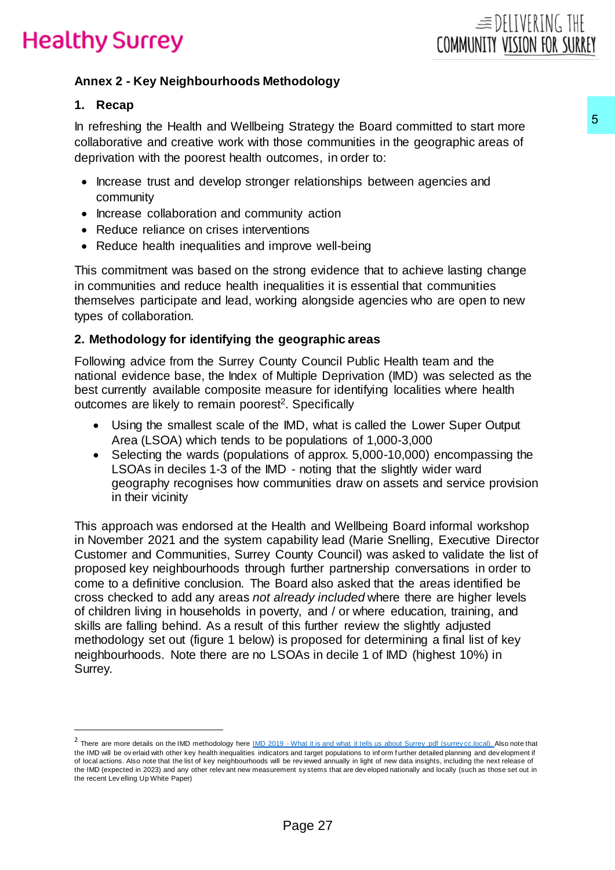#### **Annex 2 - Key Neighbourhoods Methodology**

#### **1. Recap**

 $\overline{a}$ 

In refreshing the Health and Wellbeing Strategy the Board committed to start more collaborative and creative work with those communities in the geographic areas of deprivation with the poorest health outcomes, in order to:

- Increase trust and develop stronger relationships between agencies and community
- Increase collaboration and community action
- Reduce reliance on crises interventions
- Reduce health inequalities and improve well-being

This commitment was based on the strong evidence that to achieve lasting change in communities and reduce health inequalities it is essential that communities themselves participate and lead, working alongside agencies who are open to new types of collaboration.

#### **2. Methodology for identifying the geographic areas**

Following advice from the Surrey County Council Public Health team and the national evidence base, the Index of Multiple Deprivation (IMD) was selected as the best currently available composite measure for identifying localities where health outcomes are likely to remain poorest<sup>2</sup>. Specifically

- Using the smallest scale of the IMD, what is called the Lower Super Output Area (LSOA) which tends to be populations of 1,000-3,000
- Selecting the wards (populations of approx. 5,000-10,000) encompassing the LSOAs in deciles 1-3 of the IMD - noting that the slightly wider ward geography recognises how communities draw on assets and service provision in their vicinity

This approach was endorsed at the Health and Wellbeing Board informal workshop in November 2021 and the system capability lead (Marie Snelling, Executive Director Customer and Communities, Surrey County Council) was asked to validate the list of proposed key neighbourhoods through further partnership conversations in order to come to a definitive conclusion. The Board also asked that the areas identified be cross checked to add any areas *not already included* where there are higher levels of children living in households in poverty, and / or where education, training, and skills are falling behind. As a result of this further review the slightly adjusted methodology set out (figure 1 below) is proposed for determining a final list of key neighbourhoods. Note there are no LSOAs in decile 1 of IMD (highest 10%) in Surrey. Strategy the Board committed to start more the Society of the geographic areas of society and the geographic areas of common<br>comes, in order to:<br>The geographic areas of the geographic areas of the geographic areas of<br>minim

 $^2$  There are more details on the IMD methodology here IMD 2019 - What it is and what it tells [us about Surrey .pdf \(surrey cc.local\)](file://///surreycc.local/home/D/DanS/Data/My%20Documents/01%20TSU/Communities%20bundle/Priority%20places/IMD%202019%20-%20What%20it%20is%20and%20what%20it%20tells%20us%20about%20Surrey.pdf). Also note that the IMD will be ov erlaid with other key health inequalities indicators and target populations to inf orm f urther detailed planning and dev elopment if of local actions. Also note that the list of key neighbourhoods will be rev iewed annually in light of new data insights, including the next release of the IMD (expected in 2023) and any other relev ant new measurement sy stems that are dev eloped nationally and locally (such as those set out in the recent Lev elling Up White Paper)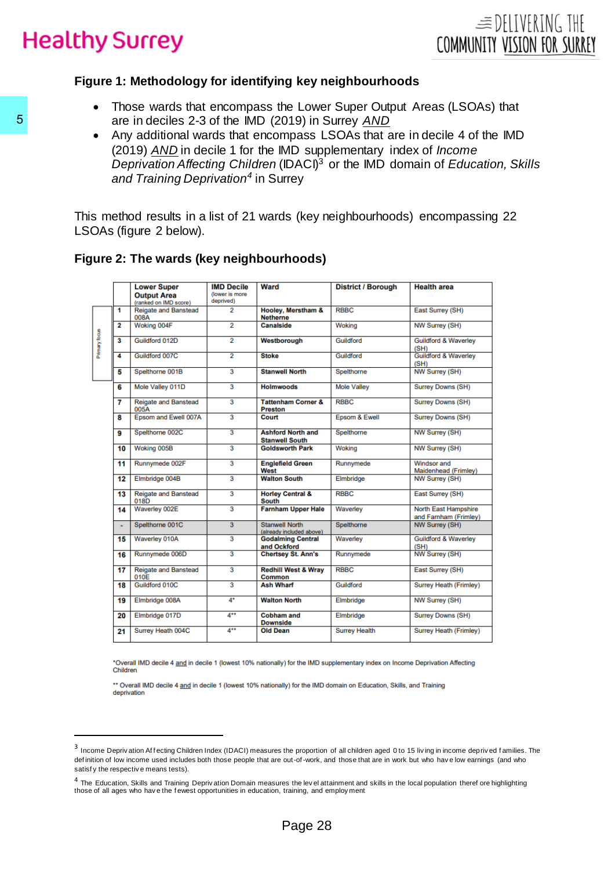#### **Figure 1: Methodology for identifying key neighbourhoods**

- Those wards that encompass the Lower Super Output Areas (LSOAs) that are in deciles 2-3 of the IMD (2019) in Surrey *AND*
- Any additional wards that encompass LSOAs that are in decile 4 of the IMD (2019) *AND* in decile 1 for the IMD supplementary index of *Income Deprivation Affecting Children* (IDACI)<sup>3</sup> or the IMD domain of *Education, Skills and Training Deprivation<sup>4</sup>* in Surrey

This method results in a list of 21 wards (key neighbourhoods) encompassing 22 LSOAs (figure 2 below).

#### **Figure 2: The wards (key neighbourhoods)**

|               |                |                                                                                                                                                                                                                                                                       | <b>IMD Decile</b>           | Ward                                              | <b>District / Borough</b> | <b>Health area</b>                            |
|---------------|----------------|-----------------------------------------------------------------------------------------------------------------------------------------------------------------------------------------------------------------------------------------------------------------------|-----------------------------|---------------------------------------------------|---------------------------|-----------------------------------------------|
|               |                | <b>Lower Super</b><br><b>Output Area</b>                                                                                                                                                                                                                              | (lower is more<br>deprived) |                                                   |                           |                                               |
|               | 1              | (ranked on IMD score)<br><b>Reigate and Banstead</b>                                                                                                                                                                                                                  | 2                           | Hooley, Merstham &                                | <b>RBBC</b>               | East Surrey (SH)                              |
|               | 2              | 008A<br>Woking 004F                                                                                                                                                                                                                                                   | 2                           | <b>Netherne</b><br><b>Canalside</b>               | Woking                    | NW Surrey (SH)                                |
| Primary focus | 3              | Guildford 012D                                                                                                                                                                                                                                                        | 2                           | Westborough                                       | Guildford                 | <b>Guildford &amp; Waverley</b>               |
|               | 4              | Guildford 007C                                                                                                                                                                                                                                                        | $\overline{2}$              | <b>Stoke</b>                                      | Guildford                 | (SH)<br><b>Guildford &amp; Waverley</b>       |
|               | 5              | Spelthorne 001B                                                                                                                                                                                                                                                       | 3                           | <b>Stanwell North</b>                             | Spelthorne                | (SH)<br>NW Surrey (SH)                        |
|               | 6              | Mole Valley 011D                                                                                                                                                                                                                                                      | 3                           | <b>Holmwoods</b>                                  | <b>Mole Valley</b>        | Surrey Downs (SH)                             |
|               | 7              | <b>Reigate and Banstead</b>                                                                                                                                                                                                                                           | 3                           | <b>Tattenham Corner &amp;</b>                     | <b>RBBC</b>               | Surrey Downs (SH)                             |
|               |                | 005A                                                                                                                                                                                                                                                                  |                             | <b>Preston</b>                                    |                           |                                               |
|               | 8              | Epsom and Ewell 007A                                                                                                                                                                                                                                                  | 3                           | Court                                             | Epsom & Ewell             | <b>Surrey Downs (SH)</b>                      |
|               | 9              | Spelthorne 002C                                                                                                                                                                                                                                                       | 3                           | <b>Ashford North and</b><br><b>Stanwell South</b> | Spelthorne                | NW Surrey (SH)                                |
|               | 10             | Woking 005B                                                                                                                                                                                                                                                           | 3                           | <b>Goldsworth Park</b>                            | Woking                    | NW Surrey (SH)                                |
|               | 11             | Runnymede 002F                                                                                                                                                                                                                                                        | 3                           | <b>Englefield Green</b><br>West                   | Runnymede                 | <b>Windsor and</b><br>Maidenhead (Frimley)    |
|               | 12             | Elmbridge 004B                                                                                                                                                                                                                                                        | 3                           | <b>Walton South</b>                               | Elmbridge                 | <b>NW Surrey (SH)</b>                         |
|               | 13             | Reigate and Banstead<br>018D                                                                                                                                                                                                                                          | 3                           | <b>Horley Central &amp;</b><br><b>South</b>       | <b>RBBC</b>               | East Surrey (SH)                              |
|               | 14             | Waverley 002E                                                                                                                                                                                                                                                         | 3                           | <b>Farnham Upper Hale</b>                         | Waverley                  | North East Hampshire<br>and Farnham (Frimley) |
|               | $\blacksquare$ | Spelthorne 001C                                                                                                                                                                                                                                                       | 3                           | <b>Stanwell North</b><br>(already included above) | Spelthorne                | NW Surrey (SH)                                |
|               | 15             | Waverley 010A                                                                                                                                                                                                                                                         | 3                           | <b>Godalming Central</b>                          | Waverley                  | <b>Guildford &amp; Waverley</b>               |
|               | 16             | Runnymede 006D                                                                                                                                                                                                                                                        | 3                           | and Ockford<br><b>Chertsey St. Ann's</b>          | Runnymede                 | (SH)<br>NW Surrey (SH)                        |
|               | 17             | <b>Reigate and Banstead</b>                                                                                                                                                                                                                                           | 3                           | <b>Redhill West &amp; Wray</b>                    | <b>RBBC</b>               | East Surrey (SH)                              |
|               | 18             | 010E<br>Guildford 010C                                                                                                                                                                                                                                                | 3                           | Common<br><b>Ash Wharf</b>                        | Guildford                 | <b>Surrey Heath (Frimley)</b>                 |
|               | 19             | Elmbridge 008A                                                                                                                                                                                                                                                        | 4*                          | <b>Walton North</b>                               | Elmbridge                 | NW Surrey (SH)                                |
|               | 20             | Elmbridge 017D                                                                                                                                                                                                                                                        | 4**                         | <b>Cobham and</b>                                 | Elmbridge                 | Surrey Downs (SH)                             |
|               | 21             | Surrey Heath 004C                                                                                                                                                                                                                                                     | 4**                         | <b>Downside</b><br><b>Old Dean</b>                | <b>Surrey Health</b>      | Surrey Heath (Frimley)                        |
|               | Children       | *Overall IMD decile 4 and in decile 1 (lowest 10% nationally) for the IMD supplementary index on Income Deprivation Affecting<br>** Overall IMD decile 4 and in decile 1 (lowest 10% nationally) for the IMD domain on Education, Skills, and Training<br>deprivation |                             |                                                   |                           |                                               |

<sup>&</sup>lt;sup>3</sup> Income Depriv ation Affecting Children Index (IDACI) measures the proportion of all children aged 0 to 15 living in income deprived families. The def inition of low income used includes both those people that are out-of-work, and those that are in work but who hav e low earnings (and who satisf y the respective means tests).

<sup>&</sup>lt;sup>4</sup> The Education, Skills and Training Deprivation Domain measures the level attainment and skills in the local population theref ore highlighting those of all ages who hav e the f ewest opportunities in education, training, and employ ment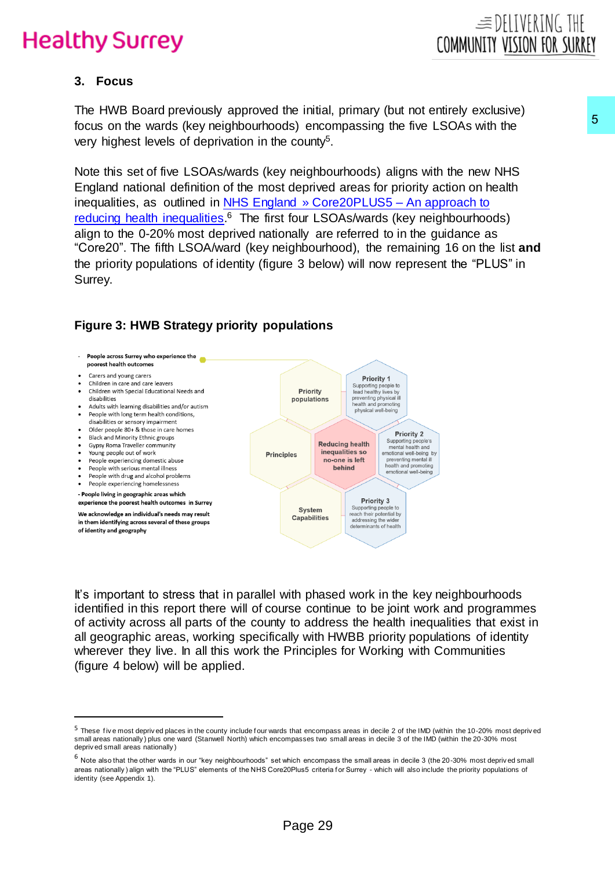

#### **3. Focus**

 $\overline{a}$ 

The HWB Board previously approved the initial, primary (but not entirely exclusive) focus on the wards (key neighbourhoods) encompassing the five LSOAs with the very highest levels of deprivation in the county<sup>5</sup>.

Note this set of five LSOAs/wards (key neighbourhoods) aligns with the new NHS England national definition of the most deprived areas for priority action on health inequalities, as outlined in [NHS England » Core20PLUS5 –](https://www.england.nhs.uk/about/equality/equality-hub/core20plus5/#:~:text=Core20PLUS5%20is%20a%20national%20NHS,clinical%20areas%20requiring%20accelerated%20improvement.) An approach to [reducing health inequalities.](https://www.england.nhs.uk/about/equality/equality-hub/core20plus5/#:~:text=Core20PLUS5%20is%20a%20national%20NHS,clinical%20areas%20requiring%20accelerated%20improvement.)<sup>6</sup> The first four LSOAs/wards (key neighbourhoods) align to the 0-20% most deprived nationally are referred to in the guidance as "Core20". The fifth LSOA/ward (key neighbourhood), the remaining 16 on the list **and** the priority populations of identity (figure 3 below) will now represent the "PLUS" in Surrey. ds) encompassing the five LSOAs with the soundy?<br>  $P$  religiblouthoods) aligns with the new NHS<br>
religiblouthoods) aligns with the new NHS<br>
deprived areas for priority action on health<br>
nd » Core 20PLUS5 – An approach to<br>

#### People across Surrey who experience the poorest health outcomes Carers and young carers • Children in care and care leavers Children with Special Educational Needs and disabilities • Adults with learning disabilities and/or autism • People with long term health conditions, disabilities or sensory impairment • Older people 80+ & those in care homes · Black and Minority Ethnic groups Gypsy Roma Traveller community Young people out of work · People experiencing domestic abuse • People with serious mental illness People with drug and alcohol problems People experiencing homelessness - People living in geographic areas which experience the poorest health outcomes in Surrey We acknowledge an individual's needs may result in them identifying across several of these groups of identity and geography

#### **Figure 3: HWB Strategy priority populations**

It's important to stress that in parallel with phased work in the key neighbourhoods identified in this report there will of course continue to be joint work and programmes of activity across all parts of the county to address the health inequalities that exist in all geographic areas, working specifically with HWBB priority populations of identity wherever they live. In all this work the Principles for Working with Communities (figure 4 below) will be applied.

<sup>&</sup>lt;sup>5</sup> These five most deprived places in the county include four wards that encompass areas in decile 2 of the IMD (within the 10-20% most deprived small areas nationally ) plus one ward (Stanwell North) which encompasses two small areas in decile 3 of the IMD (within the 20-30% most depriv ed small areas nationally )

 $^6$  Note also that the other wards in our "key neighbourhoods" set which encompass the small areas in decile 3 (the 20-30% most deprived small areas nationally) align with the "PLUS" elements of the NHS Core20Plus5 criteria for Surrey - which will also include the priority populations of identity (see Appendix 1).